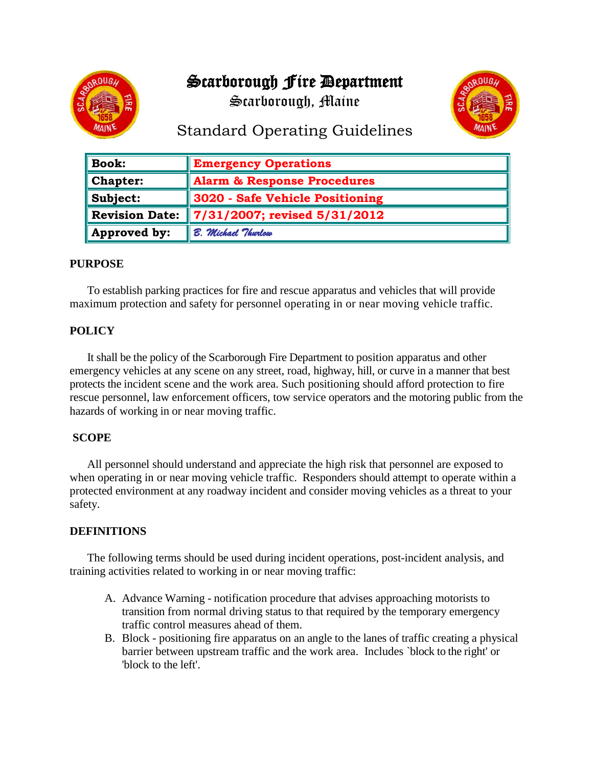# Scarborough Fire Department



Scarborough, Maine



# Standard Operating Guidelines

| $\parallel$ Book:       | <b>Emergency Operations</b>            |
|-------------------------|----------------------------------------|
| $\blacksquare$ Chapter: | <b>Alarm &amp; Response Procedures</b> |
| $\ $ Subject:           | 3020 - Safe Vehicle Positioning        |
| Revision Date:          | $\  7/31/2007$ ; revised 5/31/2012     |
| Approved by:            | B. Michael Thurlow                     |

#### **PURPOSE**

To establish parking practices for fire and rescue apparatus and vehicles that will provide maximum protection and safety for personnel operating in or near moving vehicle traffic.

## **POLICY**

It shall be the policy of the Scarborough Fire Department to position apparatus and other emergency vehicles at any scene on any street, road, highway, hill, or curve in a manner that best protects the incident scene and the work area. Such positioning should afford protection to fire rescue personnel, law enforcement officers, tow service operators and the motoring public from the hazards of working in or near moving traffic.

### **SCOPE**

All personnel should understand and appreciate the high risk that personnel are exposed to when operating in or near moving vehicle traffic. Responders should attempt to operate within a protected environment at any roadway incident and consider moving vehicles as a threat to your safety.

#### **DEFINITIONS**

The following terms should be used during incident operations, post-incident analysis, and training activities related to working in or near moving traffic:

- A. Advance Warning notification procedure that advises approaching motorists to transition from normal driving status to that required by the temporary emergency traffic control measures ahead of them.
- B. Block positioning fire apparatus on an angle to the lanes of traffic creating a physical barrier between upstream traffic and the work area. Includes `block to the right' or 'block to the left'.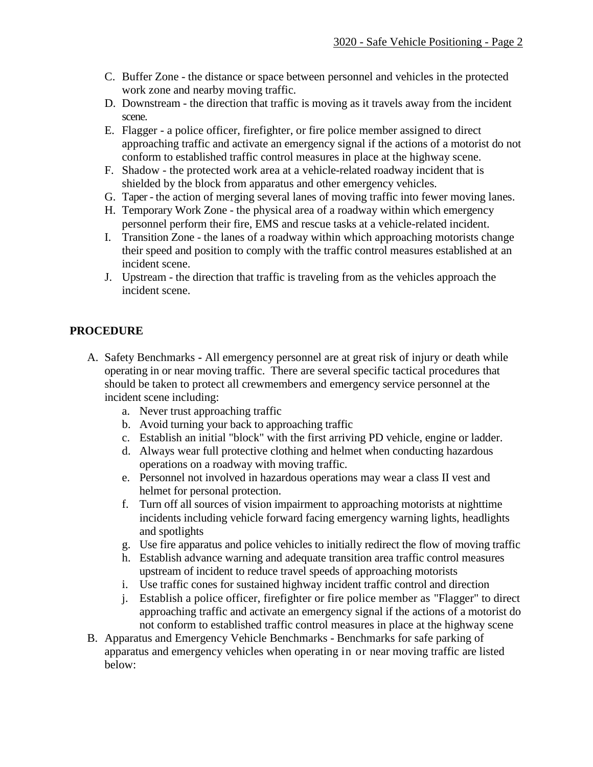- C. Buffer Zone the distance or space between personnel and vehicles in the protected work zone and nearby moving traffic.
- D. Downstream the direction that traffic is moving as it travels away from the incident scene.
- E. Flagger a police officer, firefighter, or fire police member assigned to direct approaching traffic and activate an emergency signal if the actions of a motorist do not conform to established traffic control measures in place at the highway scene.
- F. Shadow the protected work area at a vehicle-related roadway incident that is shielded by the block from apparatus and other emergency vehicles.
- G. Taper the action of merging several lanes of moving traffic into fewer moving lanes.
- H. Temporary Work Zone the physical area of a roadway within which emergency personnel perform their fire, EMS and rescue tasks at a vehicle-related incident.
- I. Transition Zone the lanes of a roadway within which approaching motorists change their speed and position to comply with the traffic control measures established at an incident scene.
- J. Upstream the direction that traffic is traveling from as the vehicles approach the incident scene.

### **PROCEDURE**

- A. Safety Benchmarks **-** All emergency personnel are at great risk of injury or death while operating in or near moving traffic. There are several specific tactical procedures that should be taken to protect all crewmembers and emergency service personnel at the incident scene including:
	- a. Never trust approaching traffic
	- b. Avoid turning your back to approaching traffic
	- c. Establish an initial "block" with the first arriving PD vehicle, engine or ladder.
	- d. Always wear full protective clothing and helmet when conducting hazardous operations on a roadway with moving traffic.
	- e. Personnel not involved in hazardous operations may wear a class II vest and helmet for personal protection.
	- f. Turn off all sources of vision impairment to approaching motorists at nighttime incidents including vehicle forward facing emergency warning lights, headlights and spotlights
	- g. Use fire apparatus and police vehicles to initially redirect the flow of moving traffic
	- h. Establish advance warning and adequate transition area traffic control measures upstream of incident to reduce travel speeds of approaching motorists
	- i. Use traffic cones for sustained highway incident traffic control and direction
	- j. Establish a police officer, firefighter or fire police member as "Flagger" to direct approaching traffic and activate an emergency signal if the actions of a motorist do not conform to established traffic control measures in place at the highway scene
- B. Apparatus and Emergency Vehicle Benchmarks Benchmarks for safe parking of apparatus and emergency vehicles when operating in or near moving traffic are listed below: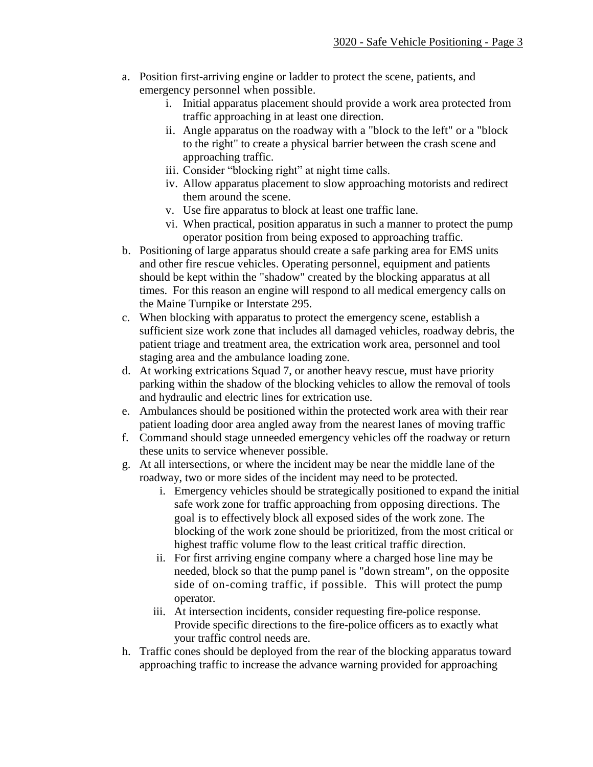- a. Position first-arriving engine or ladder to protect the scene, patients, and emergency personnel when possible.
	- i. Initial apparatus placement should provide a work area protected from traffic approaching in at least one direction.
	- ii. Angle apparatus on the roadway with a "block to the left" or a "block to the right" to create a physical barrier between the crash scene and approaching traffic.
	- iii. Consider "blocking right" at night time calls.
	- iv. Allow apparatus placement to slow approaching motorists and redirect them around the scene.
	- v. Use fire apparatus to block at least one traffic lane.
	- vi. When practical, position apparatus in such a manner to protect the pump operator position from being exposed to approaching traffic.
- b. Positioning of large apparatus should create a safe parking area for EMS units and other fire rescue vehicles. Operating personnel, equipment and patients should be kept within the "shadow" created by the blocking apparatus at all times. For this reason an engine will respond to all medical emergency calls on the Maine Turnpike or Interstate 295.
- c. When blocking with apparatus to protect the emergency scene, establish a sufficient size work zone that includes all damaged vehicles, roadway debris, the patient triage and treatment area, the extrication work area, personnel and tool staging area and the ambulance loading zone.
- d. At working extrications Squad 7, or another heavy rescue, must have priority parking within the shadow of the blocking vehicles to allow the removal of tools and hydraulic and electric lines for extrication use.
- e. Ambulances should be positioned within the protected work area with their rear patient loading door area angled away from the nearest lanes of moving traffic
- f. Command should stage unneeded emergency vehicles off the roadway or return these units to service whenever possible.
- g. At all intersections, or where the incident may be near the middle lane of the roadway, two or more sides of the incident may need to be protected.
	- i. Emergency vehicles should be strategically positioned to expand the initial safe work zone for traffic approaching from opposing directions. The goal is to effectively block all exposed sides of the work zone. The blocking of the work zone should be prioritized, from the most critical or highest traffic volume flow to the least critical traffic direction.
	- ii. For first arriving engine company where a charged hose line may be needed, block so that the pump panel is "down stream", on the opposite side of on-coming traffic, if possible. This will protect the pump operator.
	- iii. At intersection incidents, consider requesting fire-police response. Provide specific directions to the fire-police officers as to exactly what your traffic control needs are.
- h. Traffic cones should be deployed from the rear of the blocking apparatus toward approaching traffic to increase the advance warning provided for approaching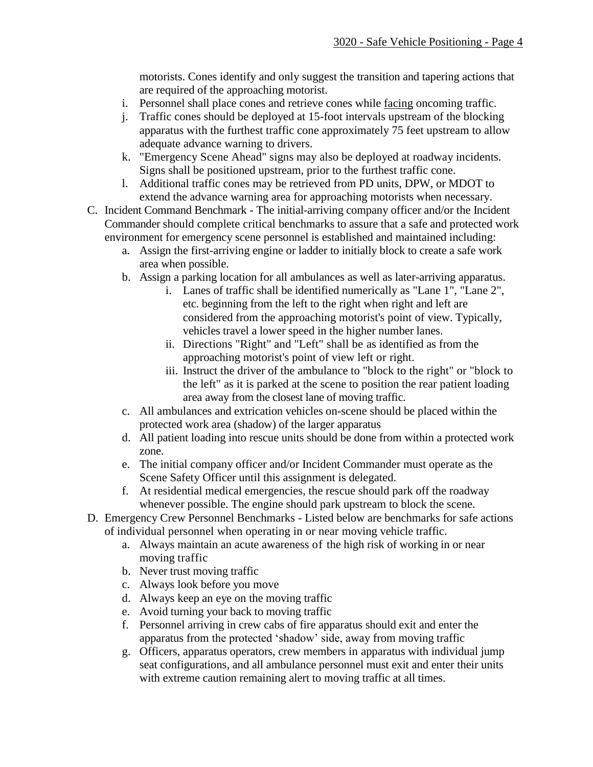motorists. Cones identify and only suggest the transition and tapering actions that are required of the approaching motorist.

- i. Personnel shall place cones and retrieve cones while facing oncoming traffic.
- j. Traffic cones should be deployed at 15-foot intervals upstream of the blocking apparatus with the furthest traffic cone approximately 75 feet upstream to allow adequate advance warning to drivers.
- k. "Emergency Scene Ahead" signs may also be deployed at roadway incidents. Signs shall be positioned upstream, prior to the furthest traffic cone.
- l. Additional traffic cones may be retrieved from PD units, DPW, or MDOT to extend the advance warning area for approaching motorists when necessary.
- C. Incident Command Benchmark The initial-arriving company officer and/or the Incident Commander should complete critical benchmarks to assure that a safe and protected work environment for emergency scene personnel is established and maintained including:
	- a. Assign the first-arriving engine or ladder to initially block to create a safe work area when possible.
	- b. Assign a parking location for all ambulances as well as later-arriving apparatus.
		- i. Lanes of traffic shall be identified numerically as "Lane 1", "Lane 2", etc. beginning from the left to the right when right and left are considered from the approaching motorist's point of view. Typically, vehicles travel a lower speed in the higher number lanes.
		- ii. Directions "Right" and "Left" shall be as identified as from the approaching motorist's point of view left or right.
		- iii. Instruct the driver of the ambulance to "block to the right" or "block to the left" as it is parked at the scene to position the rear patient loading area away from the closest lane of moving traffic.
	- c. All ambulances and extrication vehicles on-scene should be placed within the protected work area (shadow) of the larger apparatus
	- d. All patient loading into rescue units should be done from within a protected work zone.
	- e. The initial company officer and/or Incident Commander must operate as the Scene Safety Officer until this assignment is delegated.
	- f. At residential medical emergencies, the rescue should park off the roadway whenever possible. The engine should park upstream to block the scene.
- D. Emergency Crew Personnel Benchmarks Listed below are benchmarks for safe actions of individual personnel when operating in or near moving vehicle traffic.
	- a. Always maintain an acute awareness of the high risk of working in or near moving traffic
	- b. Never trust moving traffic
	- c. Always look before you move
	- d. Always keep an eye on the moving traffic
	- e. Avoid turning your back to moving traffic
	- f. Personnel arriving in crew cabs of fire apparatus should exit and enter the apparatus from the protected 'shadow' side, away from moving traffic
	- g. Officers, apparatus operators, crew members in apparatus with individual jump seat configurations, and all ambulance personnel must exit and enter their units with extreme caution remaining alert to moving traffic at all times.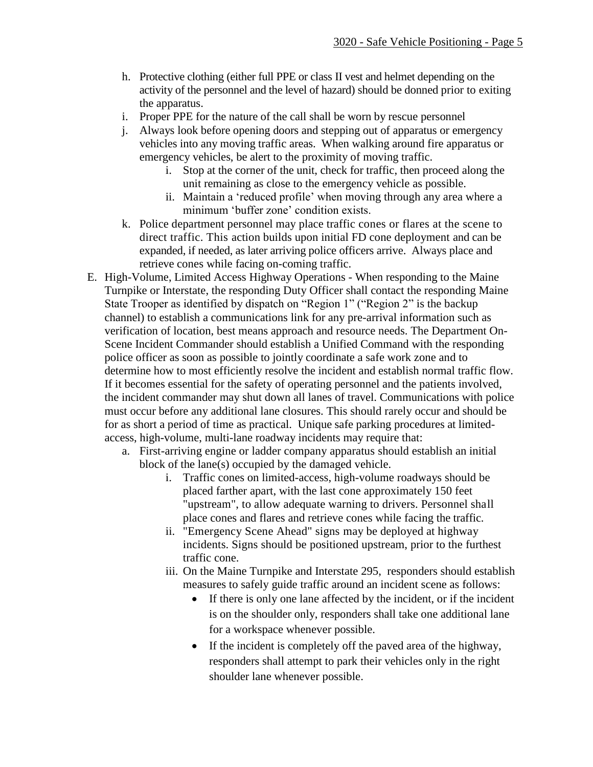- h. Protective clothing (either full PPE or class II vest and helmet depending on the activity of the personnel and the level of hazard) should be donned prior to exiting the apparatus.
- i. Proper PPE for the nature of the call shall be worn by rescue personnel
- j. Always look before opening doors and stepping out of apparatus or emergency vehicles into any moving traffic areas. When walking around fire apparatus or emergency vehicles, be alert to the proximity of moving traffic.
	- i. Stop at the corner of the unit, check for traffic, then proceed along the unit remaining as close to the emergency vehicle as possible.
	- ii. Maintain a 'reduced profile' when moving through any area where a minimum 'buffer zone' condition exists.
- k. Police department personnel may place traffic cones or flares at the scene to direct traffic. This action builds upon initial FD cone deployment and can be expanded, if needed, as later arriving police officers arrive. Always place and retrieve cones while facing on-coming traffic.
- E. High-Volume, Limited Access Highway Operations When responding to the Maine Turnpike or Interstate, the responding Duty Officer shall contact the responding Maine State Trooper as identified by dispatch on "Region 1" ("Region 2" is the backup channel) to establish a communications link for any pre-arrival information such as verification of location, best means approach and resource needs. The Department On-Scene Incident Commander should establish a Unified Command with the responding police officer as soon as possible to jointly coordinate a safe work zone and to determine how to most efficiently resolve the incident and establish normal traffic flow. If it becomes essential for the safety of operating personnel and the patients involved, the incident commander may shut down all lanes of travel. Communications with police must occur before any additional lane closures. This should rarely occur and should be for as short a period of time as practical. Unique safe parking procedures at limitedaccess, high-volume, multi-lane roadway incidents may require that:
	- a. First-arriving engine or ladder company apparatus should establish an initial block of the lane(s) occupied by the damaged vehicle.
		- i. Traffic cones on limited-access, high-volume roadways should be placed farther apart, with the last cone approximately 150 feet "upstream", to allow adequate warning to drivers. Personnel shall place cones and flares and retrieve cones while facing the traffic.
		- ii. "Emergency Scene Ahead" signs may be deployed at highway incidents. Signs should be positioned upstream, prior to the furthest traffic cone.
		- iii. On the Maine Turnpike and Interstate 295, responders should establish measures to safely guide traffic around an incident scene as follows:
			- If there is only one lane affected by the incident, or if the incident is on the shoulder only, responders shall take one additional lane for a workspace whenever possible.
			- If the incident is completely off the paved area of the highway, responders shall attempt to park their vehicles only in the right shoulder lane whenever possible.